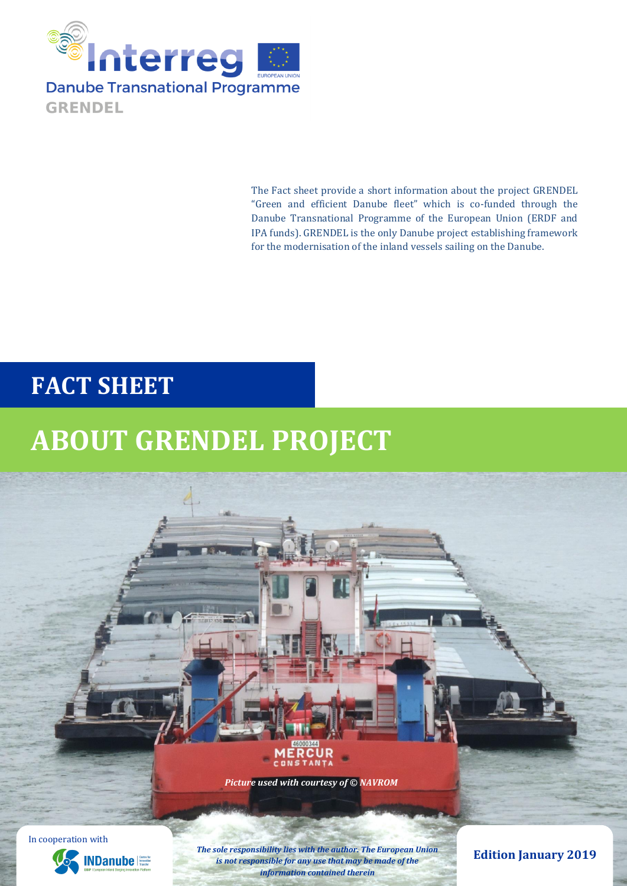

The Fact sheet provide a short information about the project GRENDEL "Green and efficient Danube fleet" which is co-funded through the Danube Transnational Programme of the European Union (ERDF and IPA funds). GRENDEL is the only Danube project establishing framework for the modernisation of the inland vessels sailing on the Danube.

### **FACT SHEET**

# **ABOUT GRENDEL PROJECT**



In cooperation with



*The sole responsibility lies with the author. The European Union is not responsible for any use that may be made of the information contained therein*

**Edition January 2019**